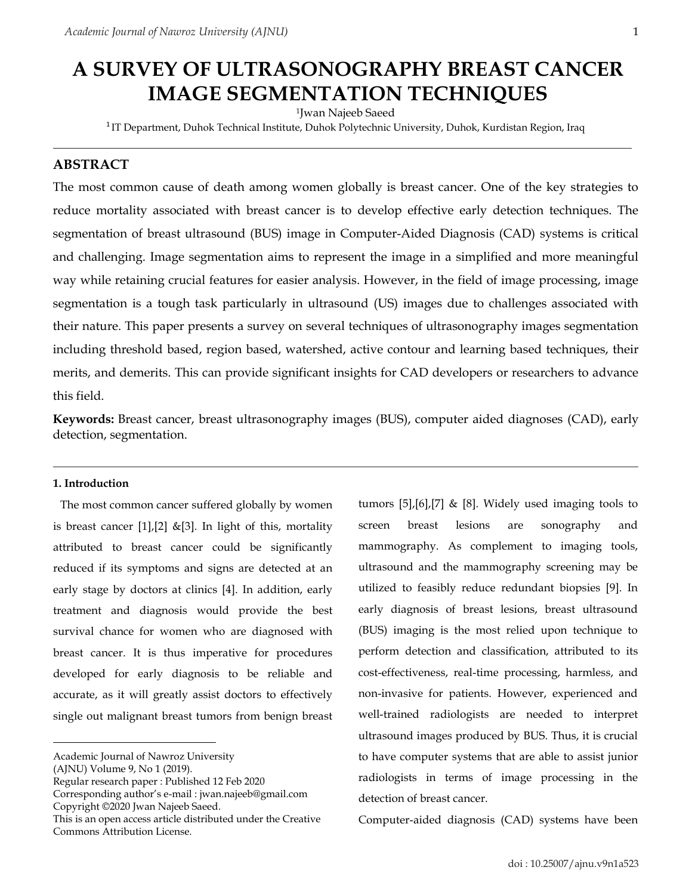# **A SURVEY OF ULTRASONOGRAPHY BREAST CANCER IMAGE SEGMENTATION TECHNIQUES**

1 Jwan Najeeb Saeed

<sup>1</sup>IT Department, Duhok Technical Institute, Duhok Polytechnic University, Duhok, Kurdistan Region, Iraq

# **ABSTRACT**

The most common cause of death among women globally is breast cancer. One of the key strategies to reduce mortality associated with breast cancer is to develop effective early detection techniques. The segmentation of breast ultrasound (BUS) image in Computer-Aided Diagnosis (CAD) systems is critical and challenging. Image segmentation aims to represent the image in a simplified and more meaningful way while retaining crucial features for easier analysis. However, in the field of image processing, image segmentation is a tough task particularly in ultrasound (US) images due to challenges associated with their nature. This paper presents a survey on several techniques of ultrasonography images segmentation including threshold based, region based, watershed, active contour and learning based techniques, their merits, and demerits. This can provide significant insights for CAD developers or researchers to advance this field.

**Keywords:** Breast cancer, breast ultrasonography images (BUS), computer aided diagnoses (CAD), early detection, segmentation.

## **1. Introduction**

The most common cancer suffered globally by women is breast cancer  $[1]$ ,  $[2]$  &  $[3]$ . In light of this, mortality attributed to breast cancer could be significantly reduced if its symptoms and signs are detected at an early stage by doctors at clinics [4]. In addition, early treatment and diagnosis would provide the best survival chance for women who are diagnosed with breast cancer. It is thus imperative for procedures developed for early diagnosis to be reliable and accurate, as it will greatly assist doctors to effectively single out malignant breast tumors from benign breast

tumors [5],[6],[7] & [8]. Widely used imaging tools to screen breast lesions are sonography and mammography. As complement to imaging tools, ultrasound and the mammography screening may be utilized to feasibly reduce redundant biopsies [9]. In early diagnosis of breast lesions, breast ultrasound (BUS) imaging is the most relied upon technique to perform detection and classification, attributed to its cost-effectiveness, real-time processing, harmless, and non-invasive for patients. However, experienced and well-trained radiologists are needed to interpret ultrasound images produced by BUS. Thus, it is crucial to have computer systems that are able to assist junior radiologists in terms of image processing in the detection of breast cancer.

Computer-aided diagnosis (CAD) systems have been

Academic Journal of Nawroz University

<sup>(</sup>AJNU) Volume 9, No 1 (2019).

Regular research paper : Published 12 Feb 2020

Corresponding author's e-mail : jwan.najeeb@gmail.com Copyright ©2020 Jwan Najeeb Saeed.

This is an open access article distributed under the Creative Commons Attribution License.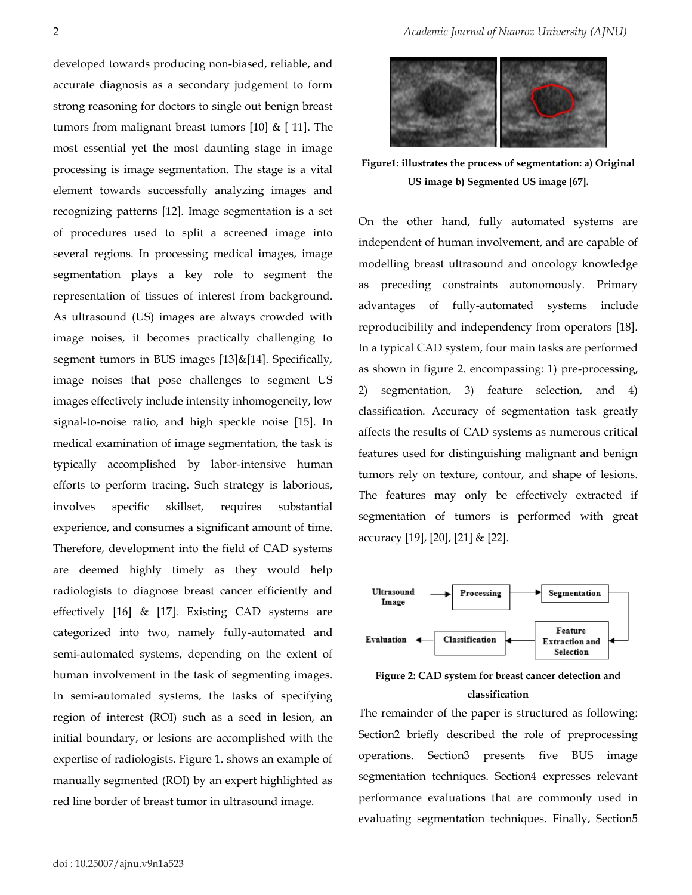developed towards producing non-biased, reliable, and accurate diagnosis as a secondary judgement to form strong reasoning for doctors to single out benign breast tumors from malignant breast tumors [10] & [ 11]. The most essential yet the most daunting stage in image processing is image segmentation. The stage is a vital element towards successfully analyzing images and recognizing patterns [12]. Image segmentation is a set of procedures used to split a screened image into several regions. In processing medical images, image segmentation plays a key role to segment the representation of tissues of interest from background. As ultrasound (US) images are always crowded with image noises, it becomes practically challenging to segment tumors in BUS images [13]&[14]. Specifically, image noises that pose challenges to segment US images effectively include intensity inhomogeneity, low signal-to-noise ratio, and high speckle noise [15]. In medical examination of image segmentation, the task is typically accomplished by labor-intensive human efforts to perform tracing. Such strategy is laborious, involves specific skillset, requires substantial experience, and consumes a significant amount of time. Therefore, development into the field of CAD systems are deemed highly timely as they would help radiologists to diagnose breast cancer efficiently and effectively [16] & [17]. Existing CAD systems are categorized into two, namely fully-automated and semi-automated systems, depending on the extent of human involvement in the task of segmenting images. In semi-automated systems, the tasks of specifying region of interest (ROI) such as a seed in lesion, an initial boundary, or lesions are accomplished with the expertise of radiologists. Figure 1. shows an example of manually segmented (ROI) by an expert highlighted as red line border of breast tumor in ultrasound image.



**Figure1: illustrates the process of segmentation: a) Original US image b) Segmented US image [67].**

On the other hand, fully automated systems are independent of human involvement, and are capable of modelling breast ultrasound and oncology knowledge as preceding constraints autonomously. Primary advantages of fully-automated systems include reproducibility and independency from operators [18]. In a typical CAD system, four main tasks are performed as shown in figure 2. encompassing: 1) pre-processing, 2) segmentation, 3) feature selection, and 4) classification. Accuracy of segmentation task greatly affects the results of CAD systems as numerous critical features used for distinguishing malignant and benign tumors rely on texture, contour, and shape of lesions. The features may only be effectively extracted if segmentation of tumors is performed with great accuracy [19], [20], [21] & [22].





The remainder of the paper is structured as following: Section2 briefly described the role of preprocessing operations. Section3 presents five BUS image segmentation techniques. Section4 expresses relevant performance evaluations that are commonly used in evaluating segmentation techniques. Finally, Section5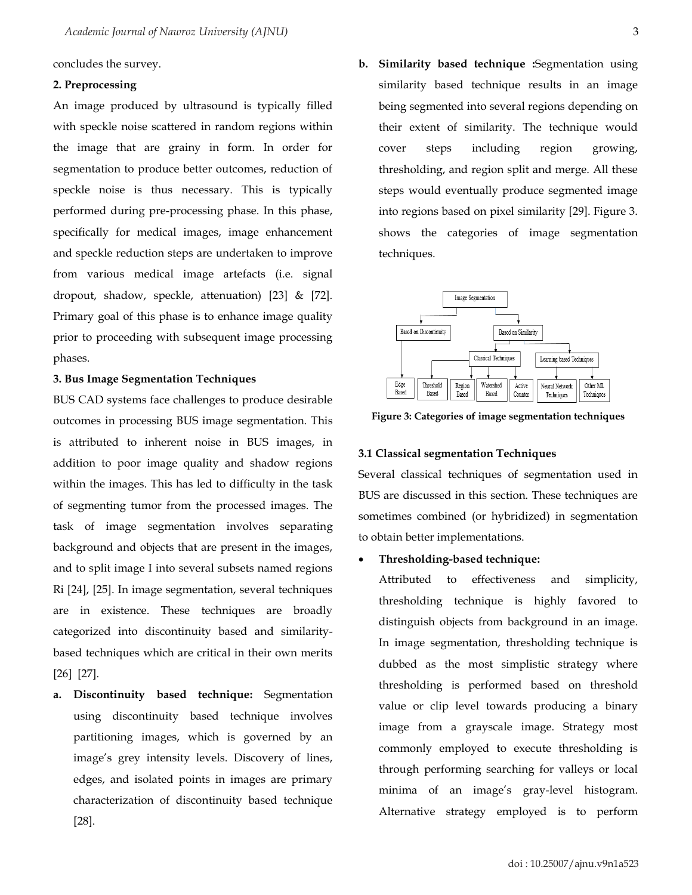concludes the survey.

#### **2. Preprocessing**

An image produced by ultrasound is typically filled with speckle noise scattered in random regions within the image that are grainy in form. In order for segmentation to produce better outcomes, reduction of speckle noise is thus necessary. This is typically performed during pre-processing phase. In this phase, specifically for medical images, image enhancement and speckle reduction steps are undertaken to improve from various medical image artefacts (i.e. signal dropout, shadow, speckle, attenuation) [23] & [72]. Primary goal of this phase is to enhance image quality prior to proceeding with subsequent image processing phases.

#### **3. Bus Image Segmentation Techniques**

BUS CAD systems face challenges to produce desirable outcomes in processing BUS image segmentation. This is attributed to inherent noise in BUS images, in addition to poor image quality and shadow regions within the images. This has led to difficulty in the task of segmenting tumor from the processed images. The task of image segmentation involves separating background and objects that are present in the images, and to split image I into several subsets named regions Ri [24], [25]. In image segmentation, several techniques are in existence. These techniques are broadly categorized into discontinuity based and similaritybased techniques which are critical in their own merits [26] [27].

**a. Discontinuity based technique:** Segmentation using discontinuity based technique involves partitioning images, which is governed by an image's grey intensity levels. Discovery of lines, edges, and isolated points in images are primary characterization of discontinuity based technique [28].

**b. Similarity based technique :**Segmentation using similarity based technique results in an image being segmented into several regions depending on their extent of similarity. The technique would cover steps including region growing, thresholding, and region split and merge. All these steps would eventually produce segmented image into regions based on pixel similarity [29]. Figure 3. shows the categories of image segmentation techniques.



**Figure 3: Categories of image segmentation techniques**

# **3.1 Classical segmentation Techniques**

Several classical techniques of segmentation used in BUS are discussed in this section. These techniques are sometimes combined (or hybridized) in segmentation to obtain better implementations.

#### • **Thresholding-based technique:**

Attributed to effectiveness and simplicity, thresholding technique is highly favored to distinguish objects from background in an image. In image segmentation, thresholding technique is dubbed as the most simplistic strategy where thresholding is performed based on threshold value or clip level towards producing a binary image from a grayscale image. Strategy most commonly employed to execute thresholding is through performing searching for valleys or local minima of an image's gray-level histogram. Alternative strategy employed is to perform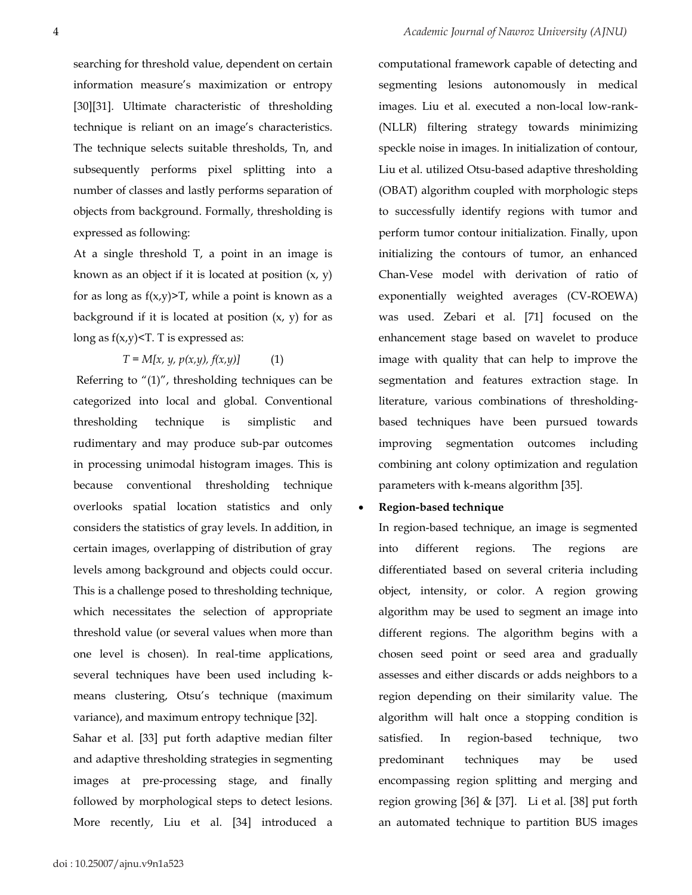computational framework capable of detecting and

searching for threshold value, dependent on certain information measure's maximization or entropy [30][31]. Ultimate characteristic of thresholding technique is reliant on an image's characteristics. The technique selects suitable thresholds, Tn, and subsequently performs pixel splitting into a number of classes and lastly performs separation of objects from background. Formally, thresholding is expressed as following:

At a single threshold T, a point in an image is known as an object if it is located at position  $(x, y)$ for as long as  $f(x,y)$ >T, while a point is known as a background if it is located at position  $(x, y)$  for as long as  $f(x,y)$ <T. T is expressed as:

 $T = M[x, y, p(x,y), f(x,y)]$  (1)

Referring to "(1)", thresholding techniques can be categorized into local and global. Conventional thresholding technique is simplistic and rudimentary and may produce sub-par outcomes in processing unimodal histogram images. This is because conventional thresholding technique overlooks spatial location statistics and only considers the statistics of gray levels. In addition, in certain images, overlapping of distribution of gray levels among background and objects could occur. This is a challenge posed to thresholding technique, which necessitates the selection of appropriate threshold value (or several values when more than one level is chosen). In real-time applications, several techniques have been used including kmeans clustering, Otsu's technique (maximum variance), and maximum entropy technique [32]. Sahar et al. [33] put forth adaptive median filter and adaptive thresholding strategies in segmenting images at pre-processing stage, and finally followed by morphological steps to detect lesions.

More recently, Liu et al. [34] introduced a

segmenting lesions autonomously in medical images. Liu et al. executed a non-local low-rank- (NLLR) filtering strategy towards minimizing speckle noise in images. In initialization of contour, Liu et al. utilized Otsu-based adaptive thresholding (OBAT) algorithm coupled with morphologic steps to successfully identify regions with tumor and perform tumor contour initialization. Finally, upon initializing the contours of tumor, an enhanced Chan-Vese model with derivation of ratio of exponentially weighted averages (CV-ROEWA) was used. Zebari et al. [71] focused on the enhancement stage based on wavelet to produce image with quality that can help to improve the segmentation and features extraction stage. In literature, various combinations of thresholdingbased techniques have been pursued towards improving segmentation outcomes including combining ant colony optimization and regulation parameters with k-means algorithm [35].

## • **Region-based technique**

In region-based technique, an image is segmented into different regions. The regions are differentiated based on several criteria including object, intensity, or color. A region growing algorithm may be used to segment an image into different regions. The algorithm begins with a chosen seed point or seed area and gradually assesses and either discards or adds neighbors to a region depending on their similarity value. The algorithm will halt once a stopping condition is satisfied. In region-based technique, two predominant techniques may be used encompassing region splitting and merging and region growing  $[36]$  &  $[37]$ . Li et al.  $[38]$  put forth an automated technique to partition BUS images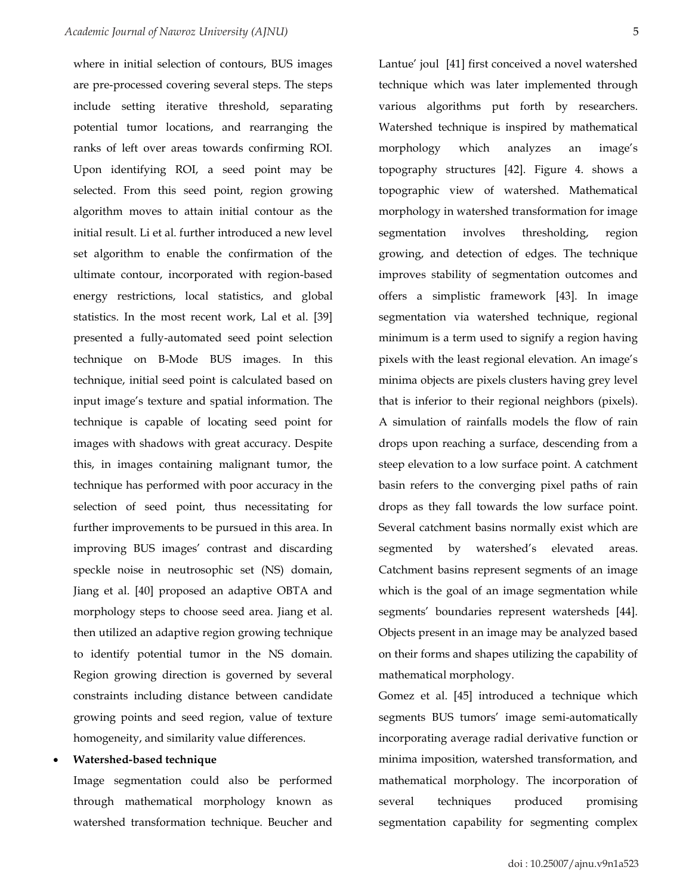where in initial selection of contours, BUS images are pre-processed covering several steps. The steps include setting iterative threshold, separating potential tumor locations, and rearranging the ranks of left over areas towards confirming ROI. Upon identifying ROI, a seed point may be selected. From this seed point, region growing algorithm moves to attain initial contour as the initial result. Li et al. further introduced a new level set algorithm to enable the confirmation of the ultimate contour, incorporated with region-based energy restrictions, local statistics, and global statistics. In the most recent work, Lal et al. [39] presented a fully-automated seed point selection technique on B-Mode BUS images. In this technique, initial seed point is calculated based on input image's texture and spatial information. The technique is capable of locating seed point for images with shadows with great accuracy. Despite this, in images containing malignant tumor, the technique has performed with poor accuracy in the selection of seed point, thus necessitating for further improvements to be pursued in this area. In improving BUS images' contrast and discarding speckle noise in neutrosophic set (NS) domain, Jiang et al. [40] proposed an adaptive OBTA and morphology steps to choose seed area. Jiang et al. then utilized an adaptive region growing technique to identify potential tumor in the NS domain. Region growing direction is governed by several constraints including distance between candidate growing points and seed region, value of texture homogeneity, and similarity value differences.

#### • **Watershed-based technique**

Image segmentation could also be performed through mathematical morphology known as watershed transformation technique. Beucher and Lantue' joul [41] first conceived a novel watershed technique which was later implemented through various algorithms put forth by researchers. Watershed technique is inspired by mathematical morphology which analyzes an image's topography structures [42]. Figure 4. shows a topographic view of watershed. Mathematical morphology in watershed transformation for image segmentation involves thresholding, region growing, and detection of edges. The technique improves stability of segmentation outcomes and offers a simplistic framework [43]. In image segmentation via watershed technique, regional minimum is a term used to signify a region having pixels with the least regional elevation. An image's minima objects are pixels clusters having grey level that is inferior to their regional neighbors (pixels). A simulation of rainfalls models the flow of rain drops upon reaching a surface, descending from a steep elevation to a low surface point. A catchment basin refers to the converging pixel paths of rain drops as they fall towards the low surface point. Several catchment basins normally exist which are segmented by watershed's elevated areas. Catchment basins represent segments of an image which is the goal of an image segmentation while segments' boundaries represent watersheds [44]. Objects present in an image may be analyzed based on their forms and shapes utilizing the capability of mathematical morphology.

Gomez et al. [45] introduced a technique which segments BUS tumors' image semi-automatically incorporating average radial derivative function or minima imposition, watershed transformation, and mathematical morphology. The incorporation of several techniques produced promising segmentation capability for segmenting complex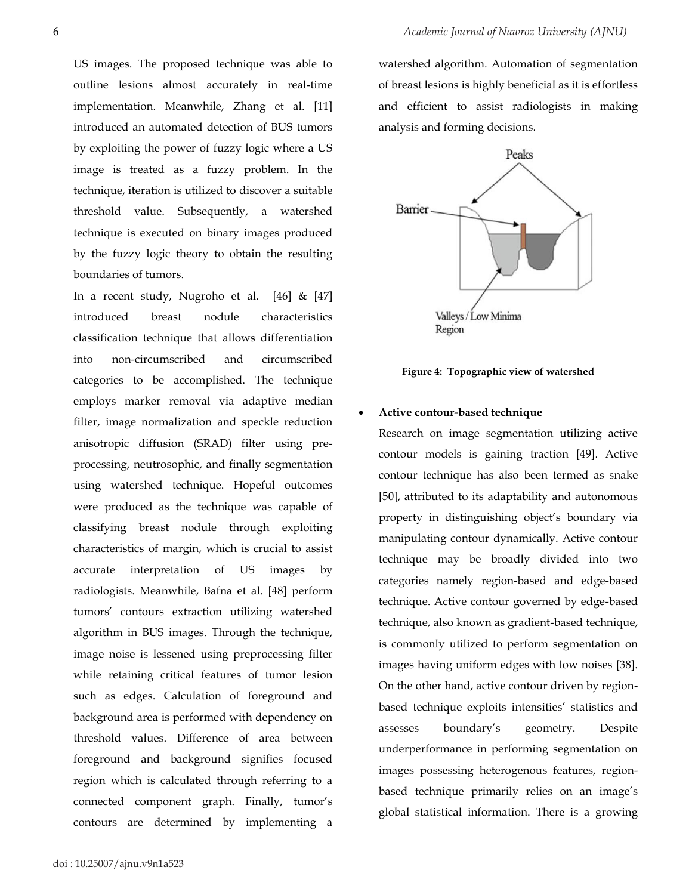US images. The proposed technique was able to outline lesions almost accurately in real-time implementation. Meanwhile, Zhang et al. [11] introduced an automated detection of BUS tumors by exploiting the power of fuzzy logic where a US image is treated as a fuzzy problem. In the technique, iteration is utilized to discover a suitable threshold value. Subsequently, a watershed technique is executed on binary images produced by the fuzzy logic theory to obtain the resulting boundaries of tumors.

In a recent study, Nugroho et al. [46] & [47] introduced breast nodule characteristics classification technique that allows differentiation into non-circumscribed and circumscribed categories to be accomplished. The technique employs marker removal via adaptive median filter, image normalization and speckle reduction anisotropic diffusion (SRAD) filter using preprocessing, neutrosophic, and finally segmentation using watershed technique. Hopeful outcomes were produced as the technique was capable of classifying breast nodule through exploiting characteristics of margin, which is crucial to assist accurate interpretation of US images by radiologists. Meanwhile, Bafna et al. [48] perform tumors' contours extraction utilizing watershed algorithm in BUS images. Through the technique, image noise is lessened using preprocessing filter while retaining critical features of tumor lesion such as edges. Calculation of foreground and background area is performed with dependency on threshold values. Difference of area between foreground and background signifies focused region which is calculated through referring to a connected component graph. Finally, tumor's contours are determined by implementing a

watershed algorithm. Automation of segmentation of breast lesions is highly beneficial as it is effortless and efficient to assist radiologists in making analysis and forming decisions.



**Figure 4: Topographic view of watershed**

#### • **Active contour-based technique**

Research on image segmentation utilizing active contour models is gaining traction [49]. Active contour technique has also been termed as snake [50], attributed to its adaptability and autonomous property in distinguishing object's boundary via manipulating contour dynamically. Active contour technique may be broadly divided into two categories namely region-based and edge-based technique. Active contour governed by edge-based technique, also known as gradient-based technique, is commonly utilized to perform segmentation on images having uniform edges with low noises [38]. On the other hand, active contour driven by regionbased technique exploits intensities' statistics and assesses boundary's geometry. Despite underperformance in performing segmentation on images possessing heterogenous features, regionbased technique primarily relies on an image's global statistical information. There is a growing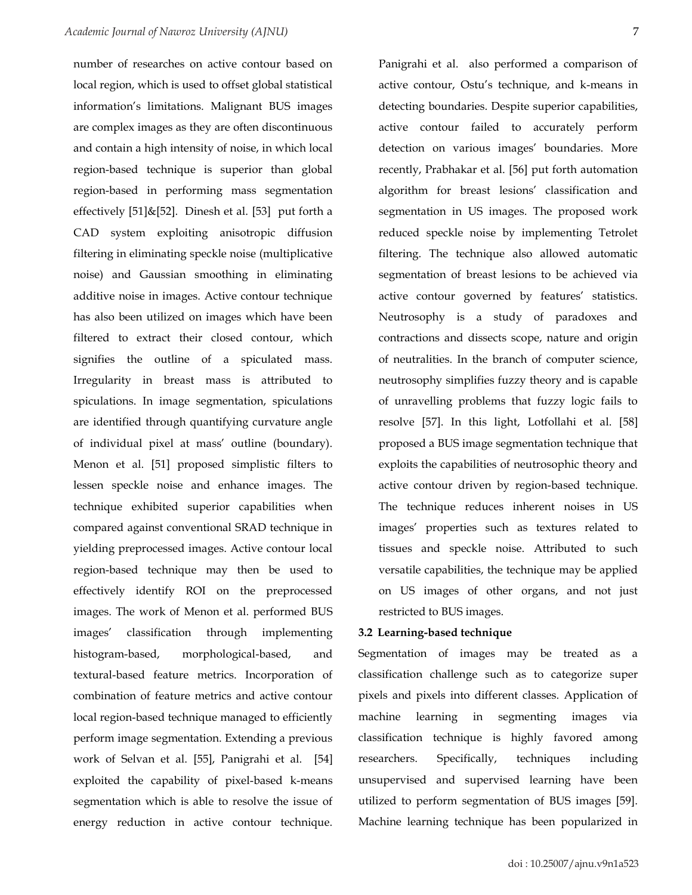number of researches on active contour based on local region, which is used to offset global statistical information's limitations. Malignant BUS images are complex images as they are often discontinuous and contain a high intensity of noise, in which local region-based technique is superior than global region-based in performing mass segmentation effectively [51]&[52]. Dinesh et al. [53] put forth a CAD system exploiting anisotropic diffusion filtering in eliminating speckle noise (multiplicative noise) and Gaussian smoothing in eliminating additive noise in images. Active contour technique has also been utilized on images which have been filtered to extract their closed contour, which signifies the outline of a spiculated mass. Irregularity in breast mass is attributed to spiculations. In image segmentation, spiculations are identified through quantifying curvature angle of individual pixel at mass' outline (boundary). Menon et al. [51] proposed simplistic filters to lessen speckle noise and enhance images. The technique exhibited superior capabilities when compared against conventional SRAD technique in yielding preprocessed images. Active contour local region-based technique may then be used to effectively identify ROI on the preprocessed images. The work of Menon et al. performed BUS images' classification through implementing histogram-based, morphological-based, and textural-based feature metrics. Incorporation of combination of feature metrics and active contour local region-based technique managed to efficiently perform image segmentation. Extending a previous work of Selvan et al. [55], Panigrahi et al. [54] exploited the capability of pixel-based k-means segmentation which is able to resolve the issue of energy reduction in active contour technique.

Panigrahi et al. also performed a comparison of active contour, Ostu's technique, and k-means in detecting boundaries. Despite superior capabilities, active contour failed to accurately perform detection on various images' boundaries. More recently, Prabhakar et al. [56] put forth automation algorithm for breast lesions' classification and segmentation in US images. The proposed work reduced speckle noise by implementing Tetrolet filtering. The technique also allowed automatic segmentation of breast lesions to be achieved via active contour governed by features' statistics. Neutrosophy is a study of paradoxes and contractions and dissects scope, nature and origin of neutralities. In the branch of computer science, neutrosophy simplifies fuzzy theory and is capable of unravelling problems that fuzzy logic fails to resolve [57]. In this light, Lotfollahi et al. [58] proposed a BUS image segmentation technique that exploits the capabilities of neutrosophic theory and active contour driven by region-based technique. The technique reduces inherent noises in US images' properties such as textures related to tissues and speckle noise. Attributed to such versatile capabilities, the technique may be applied on US images of other organs, and not just restricted to BUS images.

### **3.2 Learning-based technique**

Segmentation of images may be treated as a classification challenge such as to categorize super pixels and pixels into different classes. Application of machine learning in segmenting images via classification technique is highly favored among researchers. Specifically, techniques including unsupervised and supervised learning have been utilized to perform segmentation of BUS images [59]. Machine learning technique has been popularized in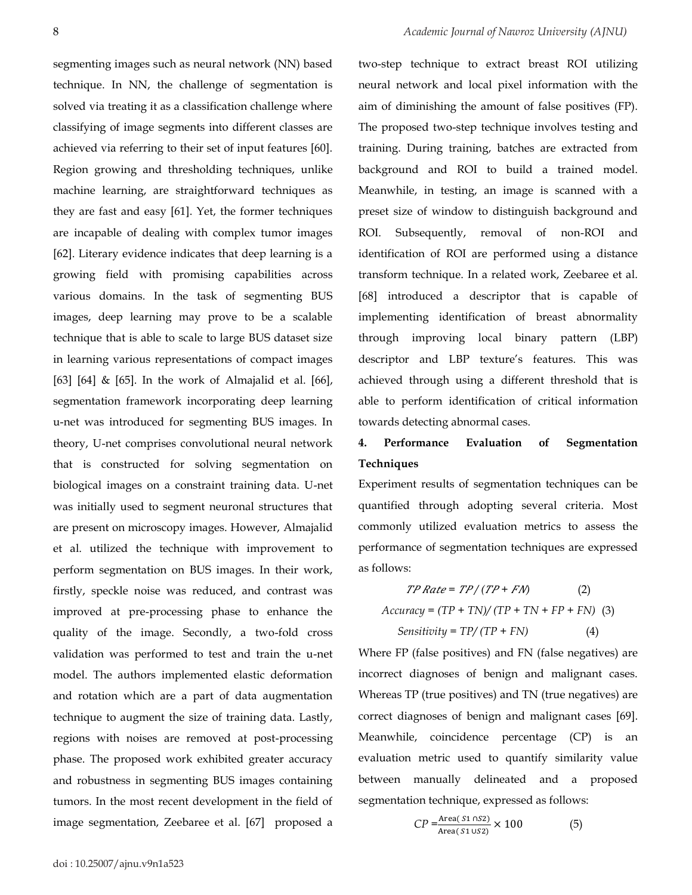segmenting images such as neural network (NN) based technique. In NN, the challenge of segmentation is solved via treating it as a classification challenge where classifying of image segments into different classes are achieved via referring to their set of input features [60]. Region growing and thresholding techniques, unlike machine learning, are straightforward techniques as they are fast and easy [61]. Yet, the former techniques are incapable of dealing with complex tumor images [62]. Literary evidence indicates that deep learning is a growing field with promising capabilities across various domains. In the task of segmenting BUS images, deep learning may prove to be a scalable technique that is able to scale to large BUS dataset size in learning various representations of compact images [63] [64] & [65]. In the work of Almajalid et al. [66], segmentation framework incorporating deep learning u-net was introduced for segmenting BUS images. In theory, U-net comprises convolutional neural network that is constructed for solving segmentation on biological images on a constraint training data. U-net was initially used to segment neuronal structures that are present on microscopy images. However, Almajalid et al. utilized the technique with improvement to perform segmentation on BUS images. In their work, firstly, speckle noise was reduced, and contrast was improved at pre-processing phase to enhance the quality of the image. Secondly, a two-fold cross validation was performed to test and train the u-net model. The authors implemented elastic deformation and rotation which are a part of data augmentation technique to augment the size of training data. Lastly, regions with noises are removed at post-processing phase. The proposed work exhibited greater accuracy and robustness in segmenting BUS images containing tumors. In the most recent development in the field of image segmentation, Zeebaree et al. [67] proposed a

two-step technique to extract breast ROI utilizing neural network and local pixel information with the aim of diminishing the amount of false positives (FP). The proposed two-step technique involves testing and training. During training, batches are extracted from background and ROI to build a trained model. Meanwhile, in testing, an image is scanned with a preset size of window to distinguish background and ROI. Subsequently, removal of non-ROI and identification of ROI are performed using a distance transform technique. In a related work, Zeebaree et al. [68] introduced a descriptor that is capable of implementing identification of breast abnormality through improving local binary pattern (LBP) descriptor and LBP texture's features. This was achieved through using a different threshold that is able to perform identification of critical information towards detecting abnormal cases.

# **4. Performance Evaluation of Segmentation Techniques**

Experiment results of segmentation techniques can be quantified through adopting several criteria. Most commonly utilized evaluation metrics to assess the performance of segmentation techniques are expressed as follows:

 *= / ( + )* (2) *Accuracy = (TP + TN)/ (TP + TN + FP + FN)* (3) *Sensitivity = TP/ (TP + FN)* (4)

Where FP (false positives) and FN (false negatives) are incorrect diagnoses of benign and malignant cases. Whereas TP (true positives) and TN (true negatives) are correct diagnoses of benign and malignant cases [69]. Meanwhile, coincidence percentage (CP) is an evaluation metric used to quantify similarity value between manually delineated and a proposed segmentation technique, expressed as follows:

$$
CP = \frac{\text{Area}(S1 \cap S2)}{\text{Area}(S1 \cup S2)} \times 100 \tag{5}
$$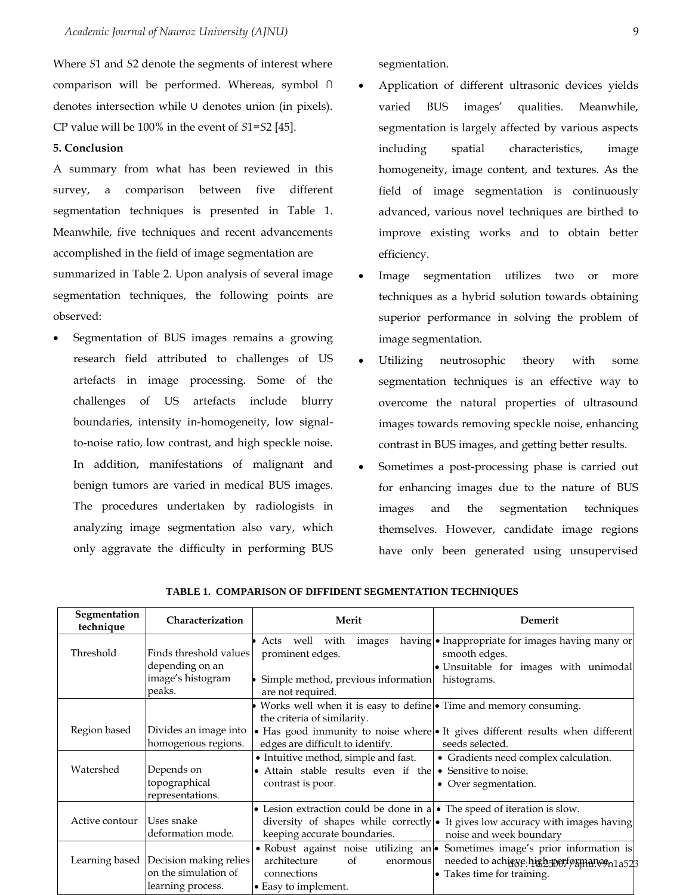Where *S*1 and *S*2 denote the segments of interest where comparison will be performed. Whereas, symbol ∩ denotes intersection while ∪ denotes union (in pixels). CP value will be 100% in the event of *S*1=*S*2 [45].

#### **5. Conclusion**

A summary from what has been reviewed in this survey, a comparison between five different segmentation techniques is presented in Table 1. Meanwhile, five techniques and recent advancements accomplished in the field of image segmentation are summarized in Table 2. Upon analysis of several image segmentation techniques, the following points are observed:

• Segmentation of BUS images remains a growing research field attributed to challenges of US artefacts in image processing. Some of the challenges of US artefacts include blurry boundaries, intensity in-homogeneity, low signalto-noise ratio, low contrast, and high speckle noise. In addition, manifestations of malignant and benign tumors are varied in medical BUS images. The procedures undertaken by radiologists in analyzing image segmentation also vary, which only aggravate the difficulty in performing BUS

segmentation.

- Application of different ultrasonic devices yields varied BUS images' qualities. Meanwhile, segmentation is largely affected by various aspects including spatial characteristics, image homogeneity, image content, and textures. As the field of image segmentation is continuously advanced, various novel techniques are birthed to improve existing works and to obtain better efficiency.
- Image segmentation utilizes two or more techniques as a hybrid solution towards obtaining superior performance in solving the problem of image segmentation.
- Utilizing neutrosophic theory with some segmentation techniques is an effective way to overcome the natural properties of ultrasound images towards removing speckle noise, enhancing contrast in BUS images, and getting better results.
- Sometimes a post-processing phase is carried out for enhancing images due to the nature of BUS images and the segmentation techniques themselves. However, candidate image regions have only been generated using unsupervised

| Segmentation<br>technique | Characterization                                                                     | Merit                                                                                                                                        | Demerit                                                                                                                                                  |  |
|---------------------------|--------------------------------------------------------------------------------------|----------------------------------------------------------------------------------------------------------------------------------------------|----------------------------------------------------------------------------------------------------------------------------------------------------------|--|
| Threshold                 | Finds threshold values<br>depending on an<br>image's histogram<br>peaks.             | well with<br>Acts<br>images<br>prominent edges.<br>Simple method, previous information<br>are not required.                                  | having • Inappropriate for images having many or<br>smooth edges.<br>· Unsuitable for images with unimodal<br>histograms.                                |  |
| Region based              | Divides an image into<br>homogenous regions.                                         | Works well when it is easy to define $\bullet$ Time and memory consuming.<br>the criteria of similarity.<br>edges are difficult to identify. | • Has good immunity to noise where • It gives different results when different<br>seeds selected.                                                        |  |
| Watershed                 | Depends on<br>topographical<br>representations.                                      | • Intuitive method, simple and fast.<br>• Attain stable results even if the<br>contrast is poor.                                             | • Gradients need complex calculation.<br>• Sensitive to noise.<br>• Over segmentation.                                                                   |  |
| Active contour            | Uses snake<br>deformation mode.                                                      | • Lesion extraction could be done in $a \rvert \cdot$ The speed of iteration is slow.<br>keeping accurate boundaries.                        | diversity of shapes while correctly • It gives low accuracy with images having<br>noise and week boundary                                                |  |
|                           | Learning based   Decision making relies<br>on the simulation of<br>learning process. | architecture<br>of<br>enormous<br>connections<br>• Easy to implement.                                                                        | • Robust against noise utilizing an • Sometimes image's prior information is<br>needed to achieve.high sperf psmancon1a523<br>• Takes time for training. |  |

**TABLE 1. COMPARISON OF DIFFIDENT SEGMENTATION TECHNIQUES**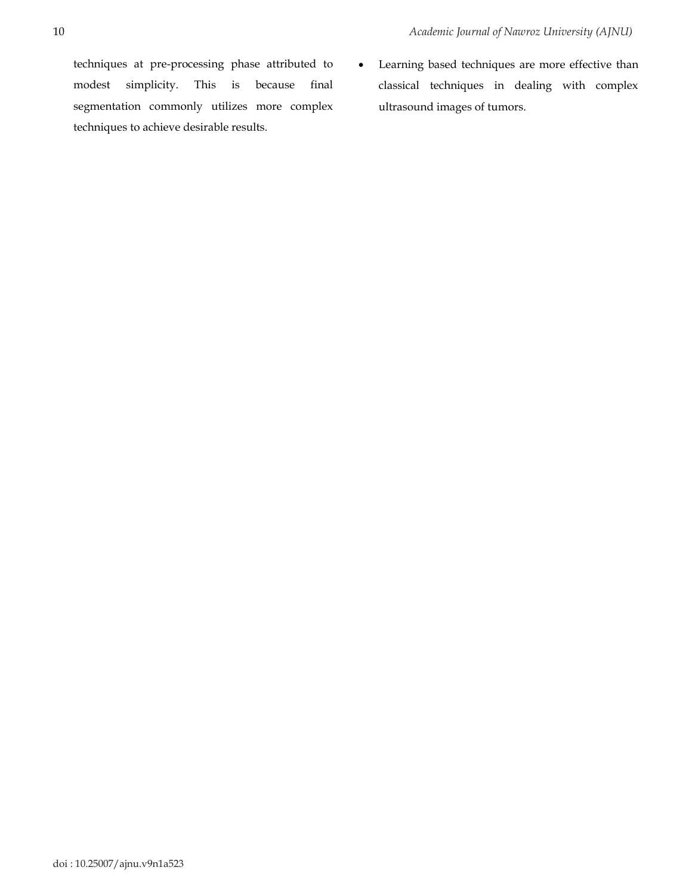techniques at pre-processing phase attributed to modest simplicity. This is because final segmentation commonly utilizes more complex techniques to achieve desirable results.

• Learning based techniques are more effective than classical techniques in dealing with complex ultrasound images of tumors.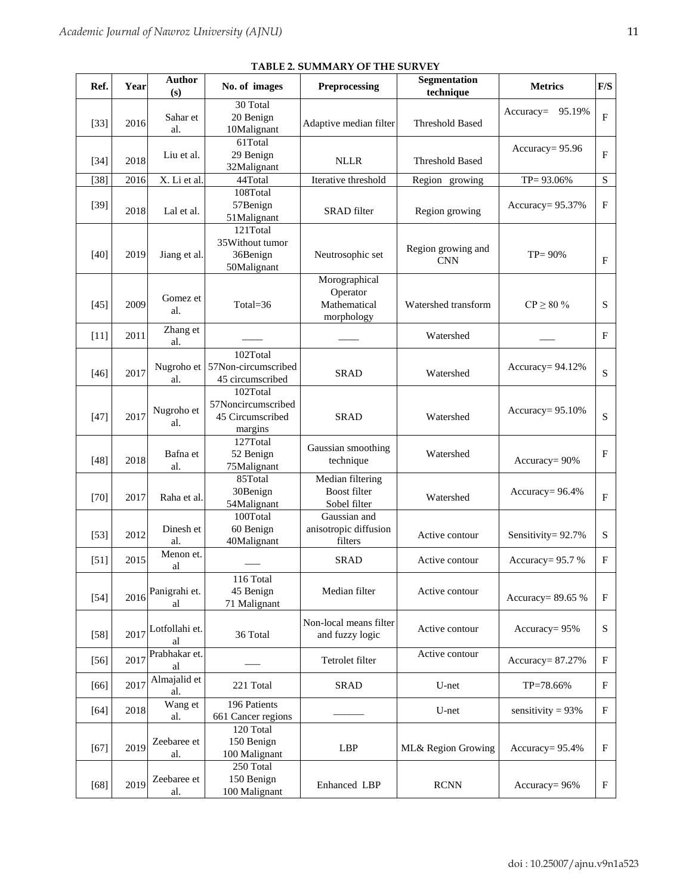|        | <b>I ADLE 4. SOWINIART OF THE SORVET</b> |                           |                                                               |                                                         |                                  |                         |                           |  |  |
|--------|------------------------------------------|---------------------------|---------------------------------------------------------------|---------------------------------------------------------|----------------------------------|-------------------------|---------------------------|--|--|
| Ref.   | Year                                     | Author<br>(s)             | No. of images                                                 | Preprocessing                                           | Segmentation<br>technique        | <b>Metrics</b>          | $\mathbf{F} / \mathbf{S}$ |  |  |
| $[33]$ | 2016                                     | Sahar et<br>al.           | 30 Total<br>20 Benign<br>10Malignant                          | Adaptive median filter                                  | <b>Threshold Based</b>           | 95.19%<br>$Accuracy=$   | $\mathbf{F}$              |  |  |
| $[34]$ | 2018                                     | Liu et al.                | 61Total<br>29 Benign<br>32Malignant                           | <b>NLLR</b>                                             | <b>Threshold Based</b>           | $Accuracy = 95.96$      | $\mathbf{F}$              |  |  |
| $[38]$ | 2016                                     | X. Li et al               | 44Total                                                       | Iterative threshold                                     | Region growing                   | TP= 93.06%              | S                         |  |  |
| $[39]$ | 2018                                     | Lal et al.                | 108Total<br>57Benign<br>51Malignant                           | SRAD filter                                             | Region growing                   | Accuracy= $95.37\%$     | $_{\rm F}$                |  |  |
| $[40]$ | 2019                                     | Jiang et al.              | 121Total<br>35Without tumor<br>36Benign<br>50Malignant        | Neutrosophic set                                        | Region growing and<br><b>CNN</b> | $TP = 90%$              | $_{\rm F}$                |  |  |
| $[45]$ | 2009                                     | Gomez et<br>al.           | Total= $36$                                                   | Morographical<br>Operator<br>Mathematical<br>morphology | Watershed transform              | $\mathrm{CP} \geq 80$ % | S                         |  |  |
| $[11]$ | 2011                                     | Zhang et<br>al.           |                                                               |                                                         | Watershed                        |                         | F                         |  |  |
| $[46]$ | 2017                                     | Nugroho et<br>al.         | 102Total<br>57Non-circumscribed<br>45 circumscribed           | <b>SRAD</b>                                             | Watershed                        | Accuracy= 94.12%        | S                         |  |  |
| $[47]$ | 2017                                     | Nugroho et<br>al.         | 102Total<br>57Noncircumscribed<br>45 Circumscribed<br>margins | <b>SRAD</b>                                             | Watershed                        | Accuracy= $95.10\%$     | $\mathbf S$               |  |  |
| $[48]$ | 2018                                     | Bafna et<br>al.           | 127Total<br>52 Benign<br>75Malignant                          | Gaussian smoothing<br>technique                         | Watershed                        | Accuracy= $90\%$        | F                         |  |  |
| $[70]$ | 2017                                     | Raha et al.               | 85Total<br>30Benign<br>54Malignant                            | Median filtering<br><b>Boost filter</b><br>Sobel filter | Watershed                        | Accuracy= $96.4\%$      | F                         |  |  |
| $[53]$ | 2012                                     | Dinesh et<br>al.          | 100Total<br>60 Benign<br>40Malignant                          | Gaussian and<br>anisotropic diffusion<br>filters        | Active contour                   | Sensitivity= 92.7%      | S                         |  |  |
| $[51]$ | 2015                                     | Menon et.<br>al           |                                                               | <b>SRAD</b>                                             | Active contour                   | Accuracy= 95.7 %        | F                         |  |  |
| $[54]$ | 2016                                     | Panigrahi et.<br>al       | 116 Total<br>45 Benign<br>71 Malignant                        | Median filter                                           | Active contour                   | Accuracy= 89.65 %       | $_{\rm F}$                |  |  |
| $[58]$ |                                          | 2017 Lotfollahi et.<br>al | 36 Total                                                      | Non-local means filter<br>and fuzzy logic               | Active contour                   | Accuracy= $95%$         | S                         |  |  |
| $[56]$ | 2017                                     | Prabhakar et.<br>al       |                                                               | Tetrolet filter                                         | Active contour                   | Accuracy= $87.27\%$     | F                         |  |  |
| $[66]$ | 2017                                     | Almajalid et<br>al.       | 221 Total                                                     | <b>SRAD</b>                                             | U-net                            | TP=78.66%               | $_{\rm F}$                |  |  |
| $[64]$ | 2018                                     | Wang et<br>al.            | 196 Patients<br>661 Cancer regions                            |                                                         | U-net                            | sensitivity = $93%$     | $_{\rm F}$                |  |  |
| $[67]$ | 2019                                     | Zeebaree et<br>al.        | 120 Total<br>150 Benign<br>100 Malignant                      | <b>LBP</b>                                              | ML& Region Growing               | Accuracy= $95.4\%$      | F                         |  |  |
| $[68]$ | 2019                                     | Zeebaree et<br>al.        | 250 Total<br>150 Benign<br>100 Malignant                      | Enhanced LBP                                            | <b>RCNN</b>                      | Accuracy= 96%           | F                         |  |  |

**TABLE 2. SUMMARY OF THE SURVEY**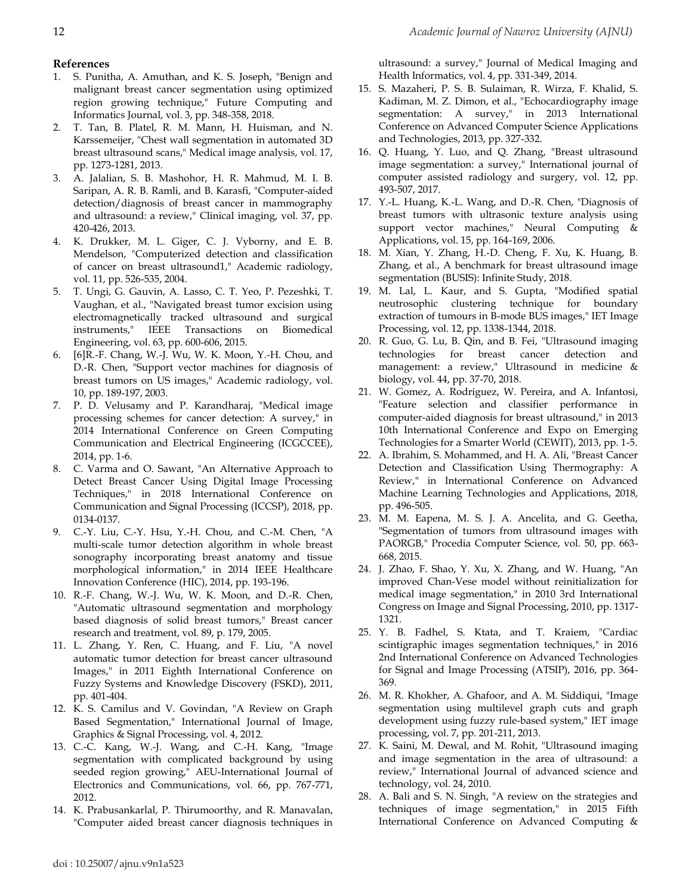# **References**

- 1. S. Punitha, A. Amuthan, and K. S. Joseph, "Benign and malignant breast cancer segmentation using optimized region growing technique," Future Computing and Informatics Journal, vol. 3, pp. 348-358, 2018.
- 2. T. Tan, B. Platel, R. M. Mann, H. Huisman, and N. Karssemeijer, "Chest wall segmentation in automated 3D breast ultrasound scans," Medical image analysis, vol. 17, pp. 1273-1281, 2013.
- 3. A. Jalalian, S. B. Mashohor, H. R. Mahmud, M. I. B. Saripan, A. R. B. Ramli, and B. Karasfi, "Computer-aided detection/diagnosis of breast cancer in mammography and ultrasound: a review," Clinical imaging, vol. 37, pp. 420-426, 2013.
- 4. K. Drukker, M. L. Giger, C. J. Vyborny, and E. B. Mendelson, "Computerized detection and classification of cancer on breast ultrasound1," Academic radiology, vol. 11, pp. 526-535, 2004.
- 5. T. Ungi, G. Gauvin, A. Lasso, C. T. Yeo, P. Pezeshki, T. Vaughan, et al., "Navigated breast tumor excision using electromagnetically tracked ultrasound and surgical instruments," IEEE Transactions on Biomedical Engineering, vol. 63, pp. 600-606, 2015.
- 6. [6]R.-F. Chang, W.-J. Wu, W. K. Moon, Y.-H. Chou, and D.-R. Chen, "Support vector machines for diagnosis of breast tumors on US images," Academic radiology, vol. 10, pp. 189-197, 2003.
- 7. P. D. Velusamy and P. Karandharaj, "Medical image processing schemes for cancer detection: A survey," in 2014 International Conference on Green Computing Communication and Electrical Engineering (ICGCCEE), 2014, pp. 1-6.
- 8. C. Varma and O. Sawant, "An Alternative Approach to Detect Breast Cancer Using Digital Image Processing Techniques," in 2018 International Conference on Communication and Signal Processing (ICCSP), 2018, pp. 0134-0137.
- 9. C.-Y. Liu, C.-Y. Hsu, Y.-H. Chou, and C.-M. Chen, "A multi-scale tumor detection algorithm in whole breast sonography incorporating breast anatomy and tissue morphological information," in 2014 IEEE Healthcare Innovation Conference (HIC), 2014, pp. 193-196.
- 10. R.-F. Chang, W.-J. Wu, W. K. Moon, and D.-R. Chen, "Automatic ultrasound segmentation and morphology based diagnosis of solid breast tumors," Breast cancer research and treatment, vol. 89, p. 179, 2005.
- 11. L. Zhang, Y. Ren, C. Huang, and F. Liu, "A novel automatic tumor detection for breast cancer ultrasound Images," in 2011 Eighth International Conference on Fuzzy Systems and Knowledge Discovery (FSKD), 2011, pp. 401-404.
- 12. K. S. Camilus and V. Govindan, "A Review on Graph Based Segmentation," International Journal of Image, Graphics & Signal Processing, vol. 4, 2012.
- 13. C.-C. Kang, W.-J. Wang, and C.-H. Kang, "Image segmentation with complicated background by using seeded region growing," AEU-International Journal of Electronics and Communications, vol. 66, pp. 767-771, 2012.
- 14. K. Prabusankarlal, P. Thirumoorthy, and R. Manavalan, "Computer aided breast cancer diagnosis techniques in

ultrasound: a survey," Journal of Medical Imaging and Health Informatics, vol. 4, pp. 331-349, 2014.

- 15. S. Mazaheri, P. S. B. Sulaiman, R. Wirza, F. Khalid, S. Kadiman, M. Z. Dimon, et al., "Echocardiography image segmentation: A survey," in 2013 International Conference on Advanced Computer Science Applications and Technologies, 2013, pp. 327-332.
- 16. Q. Huang, Y. Luo, and Q. Zhang, "Breast ultrasound image segmentation: a survey," International journal of computer assisted radiology and surgery, vol. 12, pp. 493-507, 2017.
- 17. Y.-L. Huang, K.-L. Wang, and D.-R. Chen, "Diagnosis of breast tumors with ultrasonic texture analysis using support vector machines," Neural Computing & Applications, vol. 15, pp. 164-169, 2006.
- 18. M. Xian, Y. Zhang, H.-D. Cheng, F. Xu, K. Huang, B. Zhang, et al., A benchmark for breast ultrasound image segmentation (BUSIS): Infinite Study, 2018.
- 19. M. Lal, L. Kaur, and S. Gupta, "Modified spatial neutrosophic clustering technique for boundary extraction of tumours in B-mode BUS images," IET Image Processing, vol. 12, pp. 1338-1344, 2018.
- 20. R. Guo, G. Lu, B. Qin, and B. Fei, "Ultrasound imaging technologies for breast cancer detection and management: a review," Ultrasound in medicine & biology, vol. 44, pp. 37-70, 2018.
- 21. W. Gomez, A. Rodriguez, W. Pereira, and A. Infantosi, "Feature selection and classifier performance in computer-aided diagnosis for breast ultrasound," in 2013 10th International Conference and Expo on Emerging Technologies for a Smarter World (CEWIT), 2013, pp. 1-5.
- 22. A. Ibrahim, S. Mohammed, and H. A. Ali, "Breast Cancer Detection and Classification Using Thermography: A Review," in International Conference on Advanced Machine Learning Technologies and Applications, 2018, pp. 496-505.
- 23. M. M. Eapena, M. S. J. A. Ancelita, and G. Geetha, "Segmentation of tumors from ultrasound images with PAORGB," Procedia Computer Science, vol. 50, pp. 663- 668, 2015.
- 24. J. Zhao, F. Shao, Y. Xu, X. Zhang, and W. Huang, "An improved Chan-Vese model without reinitialization for medical image segmentation," in 2010 3rd International Congress on Image and Signal Processing, 2010, pp. 1317- 1321.
- 25. Y. B. Fadhel, S. Ktata, and T. Kraiem, "Cardiac scintigraphic images segmentation techniques," in 2016 2nd International Conference on Advanced Technologies for Signal and Image Processing (ATSIP), 2016, pp. 364- 369.
- 26. M. R. Khokher, A. Ghafoor, and A. M. Siddiqui, "Image segmentation using multilevel graph cuts and graph development using fuzzy rule-based system," IET image processing, vol. 7, pp. 201-211, 2013.
- 27. K. Saini, M. Dewal, and M. Rohit, "Ultrasound imaging and image segmentation in the area of ultrasound: a review," International Journal of advanced science and technology, vol. 24, 2010.
- 28. A. Bali and S. N. Singh, "A review on the strategies and techniques of image segmentation," in 2015 Fifth International Conference on Advanced Computing &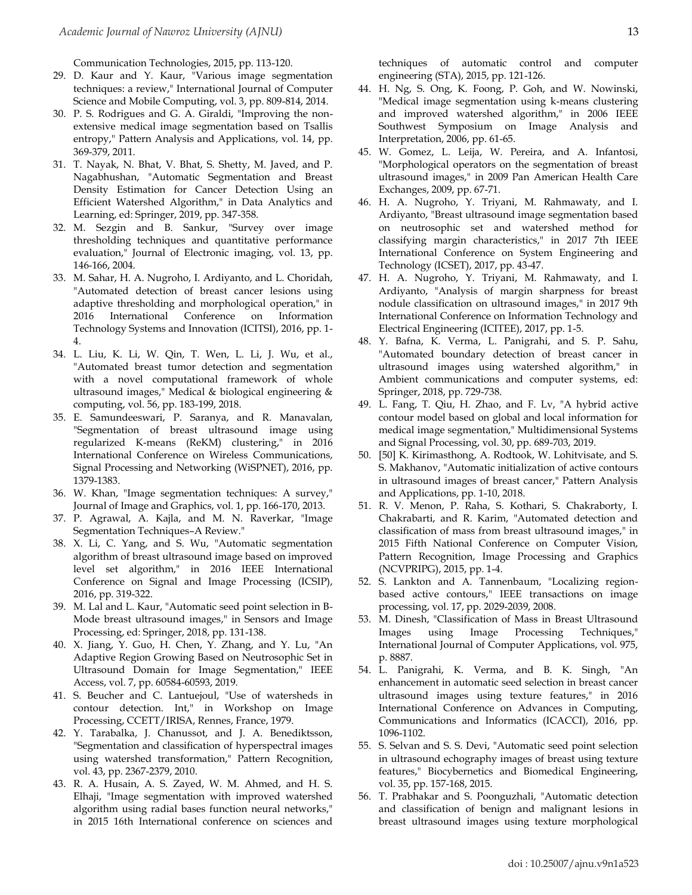Communication Technologies, 2015, pp. 113-120.

- 29. D. Kaur and Y. Kaur, "Various image segmentation techniques: a review," International Journal of Computer Science and Mobile Computing, vol. 3, pp. 809-814, 2014.
- 30. P. S. Rodrigues and G. A. Giraldi, "Improving the nonextensive medical image segmentation based on Tsallis entropy," Pattern Analysis and Applications, vol. 14, pp. 369-379, 2011.
- 31. T. Nayak, N. Bhat, V. Bhat, S. Shetty, M. Javed, and P. Nagabhushan, "Automatic Segmentation and Breast Density Estimation for Cancer Detection Using an Efficient Watershed Algorithm," in Data Analytics and Learning, ed: Springer, 2019, pp. 347-358.
- 32. M. Sezgin and B. Sankur, "Survey over image thresholding techniques and quantitative performance evaluation," Journal of Electronic imaging, vol. 13, pp. 146-166, 2004.
- 33. M. Sahar, H. A. Nugroho, I. Ardiyanto, and L. Choridah, "Automated detection of breast cancer lesions using adaptive thresholding and morphological operation," in 2016 International Conference on Information Technology Systems and Innovation (ICITSI), 2016, pp. 1- 4.
- 34. L. Liu, K. Li, W. Qin, T. Wen, L. Li, J. Wu, et al., "Automated breast tumor detection and segmentation with a novel computational framework of whole ultrasound images," Medical & biological engineering & computing, vol. 56, pp. 183-199, 2018.
- 35. E. Samundeeswari, P. Saranya, and R. Manavalan, "Segmentation of breast ultrasound image using regularized K-means (ReKM) clustering," in 2016 International Conference on Wireless Communications, Signal Processing and Networking (WiSPNET), 2016, pp. 1379-1383.
- 36. W. Khan, "Image segmentation techniques: A survey," Journal of Image and Graphics, vol. 1, pp. 166-170, 2013.
- 37. P. Agrawal, A. Kajla, and M. N. Raverkar, "Image Segmentation Techniques–A Review."
- 38. X. Li, C. Yang, and S. Wu, "Automatic segmentation algorithm of breast ultrasound image based on improved level set algorithm," in 2016 IEEE International Conference on Signal and Image Processing (ICSIP), 2016, pp. 319-322.
- 39. M. Lal and L. Kaur, "Automatic seed point selection in B-Mode breast ultrasound images," in Sensors and Image Processing, ed: Springer, 2018, pp. 131-138.
- 40. X. Jiang, Y. Guo, H. Chen, Y. Zhang, and Y. Lu, "An Adaptive Region Growing Based on Neutrosophic Set in Ultrasound Domain for Image Segmentation," IEEE Access, vol. 7, pp. 60584-60593, 2019.
- 41. S. Beucher and C. Lantuejoul, "Use of watersheds in contour detection. Int," in Workshop on Image Processing, CCETT/IRISA, Rennes, France, 1979.
- 42. Y. Tarabalka, J. Chanussot, and J. A. Benediktsson, "Segmentation and classification of hyperspectral images using watershed transformation," Pattern Recognition, vol. 43, pp. 2367-2379, 2010.
- 43. R. A. Husain, A. S. Zayed, W. M. Ahmed, and H. S. Elhaji, "Image segmentation with improved watershed algorithm using radial bases function neural networks," in 2015 16th International conference on sciences and

techniques of automatic control and computer engineering (STA), 2015, pp. 121-126.

- 44. H. Ng, S. Ong, K. Foong, P. Goh, and W. Nowinski, "Medical image segmentation using k-means clustering and improved watershed algorithm," in 2006 IEEE Southwest Symposium on Image Analysis and Interpretation, 2006, pp. 61-65.
- 45. W. Gomez, L. Leija, W. Pereira, and A. Infantosi, "Morphological operators on the segmentation of breast ultrasound images," in 2009 Pan American Health Care Exchanges, 2009, pp. 67-71.
- 46. H. A. Nugroho, Y. Triyani, M. Rahmawaty, and I. Ardiyanto, "Breast ultrasound image segmentation based on neutrosophic set and watershed method for classifying margin characteristics," in 2017 7th IEEE International Conference on System Engineering and Technology (ICSET), 2017, pp. 43-47.
- 47. H. A. Nugroho, Y. Triyani, M. Rahmawaty, and I. Ardiyanto, "Analysis of margin sharpness for breast nodule classification on ultrasound images," in 2017 9th International Conference on Information Technology and Electrical Engineering (ICITEE), 2017, pp. 1-5.
- 48. Y. Bafna, K. Verma, L. Panigrahi, and S. P. Sahu, "Automated boundary detection of breast cancer in ultrasound images using watershed algorithm," in Ambient communications and computer systems, ed: Springer, 2018, pp. 729-738.
- 49. L. Fang, T. Qiu, H. Zhao, and F. Lv, "A hybrid active contour model based on global and local information for medical image segmentation," Multidimensional Systems and Signal Processing, vol. 30, pp. 689-703, 2019.
- 50. [50] K. Kirimasthong, A. Rodtook, W. Lohitvisate, and S. S. Makhanov, "Automatic initialization of active contours in ultrasound images of breast cancer," Pattern Analysis and Applications, pp. 1-10, 2018.
- 51. R. V. Menon, P. Raha, S. Kothari, S. Chakraborty, I. Chakrabarti, and R. Karim, "Automated detection and classification of mass from breast ultrasound images," in 2015 Fifth National Conference on Computer Vision, Pattern Recognition, Image Processing and Graphics (NCVPRIPG), 2015, pp. 1-4.
- 52. S. Lankton and A. Tannenbaum, "Localizing regionbased active contours," IEEE transactions on image processing, vol. 17, pp. 2029-2039, 2008.
- 53. M. Dinesh, "Classification of Mass in Breast Ultrasound Images using Image Processing Techniques," International Journal of Computer Applications, vol. 975, p. 8887.
- 54. L. Panigrahi, K. Verma, and B. K. Singh, "An enhancement in automatic seed selection in breast cancer ultrasound images using texture features," in 2016 International Conference on Advances in Computing, Communications and Informatics (ICACCI), 2016, pp. 1096-1102.
- 55. S. Selvan and S. S. Devi, "Automatic seed point selection in ultrasound echography images of breast using texture features," Biocybernetics and Biomedical Engineering, vol. 35, pp. 157-168, 2015.
- 56. T. Prabhakar and S. Poonguzhali, "Automatic detection and classification of benign and malignant lesions in breast ultrasound images using texture morphological